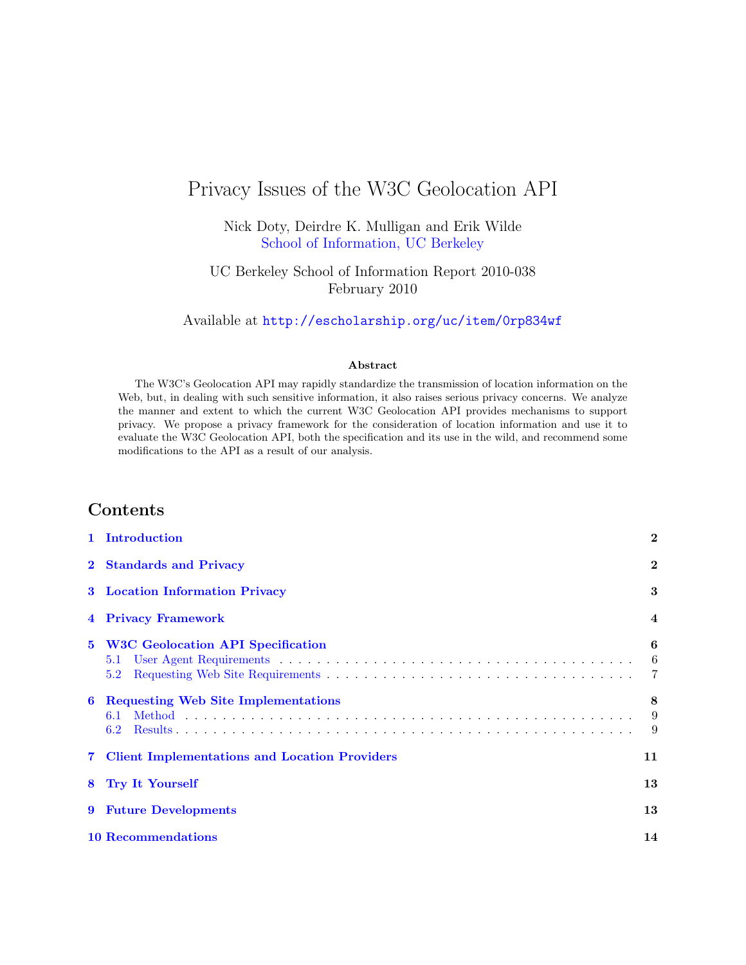# Privacy Issues of the W3C Geolocation API

Nick Doty, Deirdre K. Mulligan and Erik Wilde [School of Information, UC Berkeley](http://www.ischool.berkeley.edu/)

UC Berkeley School of Information Report 2010-038 February 2010

Available at <http://escholarship.org/uc/item/0rp834wf>

#### Abstract

The W3C's Geolocation API may rapidly standardize the transmission of location information on the Web, but, in dealing with such sensitive information, it also raises serious privacy concerns. We analyze the manner and extent to which the current W3C Geolocation API provides mechanisms to support privacy. We propose a privacy framework for the consideration of location information and use it to evaluate the W3C Geolocation API, both the specification and its use in the wild, and recommend some modifications to the API as a result of our analysis.

### Contents

|              | 1 Introduction                                           | $\mathbf{2}$ |  |  |  |
|--------------|----------------------------------------------------------|--------------|--|--|--|
| $\mathbf{2}$ | <b>Standards and Privacy</b>                             |              |  |  |  |
|              | <b>3</b> Location Information Privacy                    |              |  |  |  |
|              | <b>Privacy Framework</b>                                 |              |  |  |  |
| $5^{\circ}$  | <b>W3C Geolocation API Specification</b><br>5.1<br>5.2   | 6<br>6       |  |  |  |
| 6            | <b>Requesting Web Site Implementations</b><br>6.1<br>6.2 | 8<br>9<br>9  |  |  |  |
|              | 7 Client Implementations and Location Providers          | 11           |  |  |  |
| 8            | <b>Try It Yourself</b>                                   | 13           |  |  |  |
| 9            | <b>Future Developments</b>                               | 13           |  |  |  |
|              | <b>10 Recommendations</b>                                | 14           |  |  |  |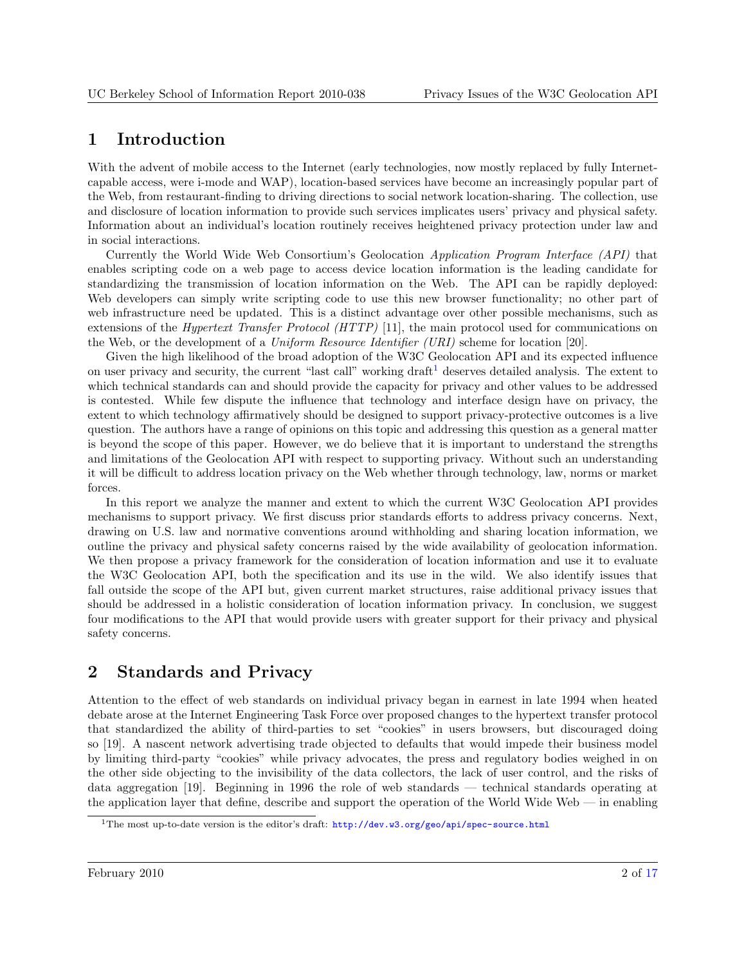## <span id="page-1-0"></span>1 Introduction

With the advent of mobile access to the Internet (early technologies, now mostly replaced by fully Internetcapable access, were i-mode and WAP), location-based services have become an increasingly popular part of the Web, from restaurant-finding to driving directions to social network location-sharing. The collection, use and disclosure of location information to provide such services implicates users' privacy and physical safety. Information about an individual's location routinely receives heightened privacy protection under law and in social interactions.

Currently the World Wide Web Consortium's Geolocation Application Program Interface (API) that enables scripting code on a web page to access device location information is the leading candidate for standardizing the transmission of location information on the Web. The API can be rapidly deployed: Web developers can simply write scripting code to use this new browser functionality; no other part of web infrastructure need be updated. This is a distinct advantage over other possible mechanisms, such as extensions of the Hypertext Transfer Protocol (HTTP) [\[11\]](#page-14-0), the main protocol used for communications on the Web, or the development of a Uniform Resource Identifier (URI) scheme for location [\[20\]](#page-15-0).

Given the high likelihood of the broad adoption of the W3C Geolocation API and its expected influence on user privacy and security, the current "last call" working draft $<sup>1</sup>$  deserves detailed analysis. The extent to</sup> which technical standards can and should provide the capacity for privacy and other values to be addressed is contested. While few dispute the influence that technology and interface design have on privacy, the extent to which technology affirmatively should be designed to support privacy-protective outcomes is a live question. The authors have a range of opinions on this topic and addressing this question as a general matter is beyond the scope of this paper. However, we do believe that it is important to understand the strengths and limitations of the Geolocation API with respect to supporting privacy. Without such an understanding it will be difficult to address location privacy on the Web whether through technology, law, norms or market forces.

In this report we analyze the manner and extent to which the current W3C Geolocation API provides mechanisms to support privacy. We first discuss prior standards efforts to address privacy concerns. Next, drawing on U.S. law and normative conventions around withholding and sharing location information, we outline the privacy and physical safety concerns raised by the wide availability of geolocation information. We then propose a privacy framework for the consideration of location information and use it to evaluate the W3C Geolocation API, both the specification and its use in the wild. We also identify issues that fall outside the scope of the API but, given current market structures, raise additional privacy issues that should be addressed in a holistic consideration of location information privacy. In conclusion, we suggest four modifications to the API that would provide users with greater support for their privacy and physical safety concerns.

## 2 Standards and Privacy

Attention to the effect of web standards on individual privacy began in earnest in late 1994 when heated debate arose at the Internet Engineering Task Force over proposed changes to the hypertext transfer protocol that standardized the ability of third-parties to set "cookies" in users browsers, but discouraged doing so [\[19\]](#page-15-0). A nascent network advertising trade objected to defaults that would impede their business model by limiting third-party "cookies" while privacy advocates, the press and regulatory bodies weighed in on the other side objecting to the invisibility of the data collectors, the lack of user control, and the risks of data aggregation [\[19\]](#page-15-0). Beginning in 1996 the role of web standards — technical standards operating at the application layer that define, describe and support the operation of the World Wide Web — in enabling

<sup>&</sup>lt;sup>1</sup>The most up-to-date version is the editor's draft: <http://dev.w3.org/geo/api/spec-source.html>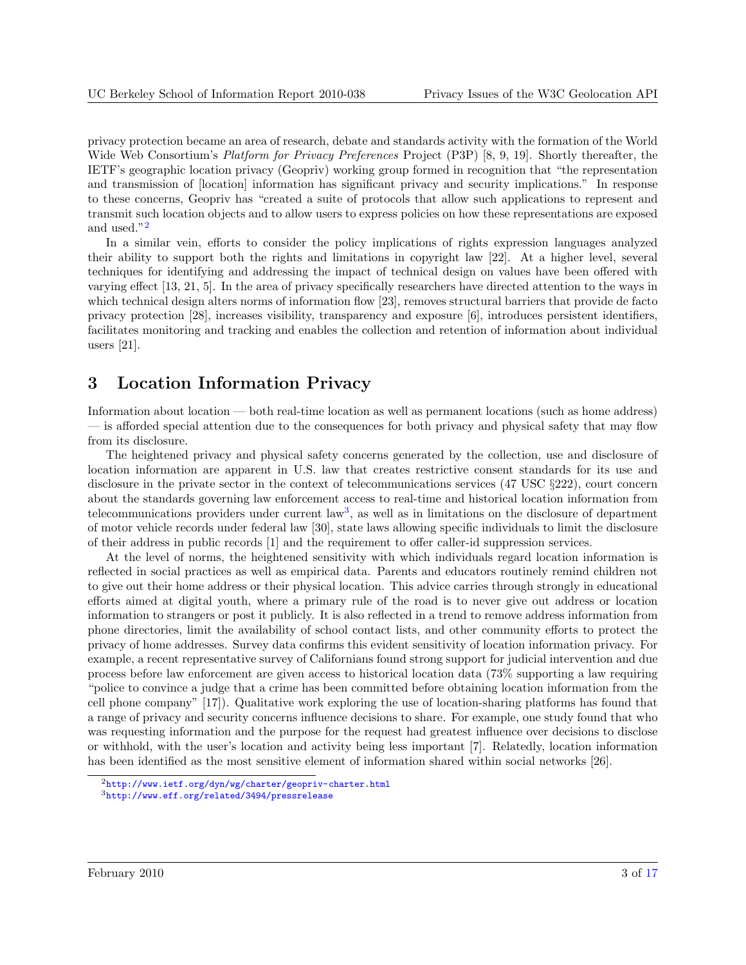<span id="page-2-0"></span>privacy protection became an area of research, debate and standards activity with the formation of the World Wide Web Consortium's *Platform for Privacy Preferences* Project (P3P) [\[8,](#page-14-0) [9,](#page-14-0) [19\]](#page-15-0). Shortly thereafter, the IETF's geographic location privacy (Geopriv) working group formed in recognition that "the representation and transmission of [location] information has significant privacy and security implications." In response to these concerns, Geopriv has "created a suite of protocols that allow such applications to represent and transmit such location objects and to allow users to express policies on how these representations are exposed and used."<sup>2</sup>

In a similar vein, efforts to consider the policy implications of rights expression languages analyzed their ability to support both the rights and limitations in copyright law [\[22\]](#page-15-0). At a higher level, several techniques for identifying and addressing the impact of technical design on values have been offered with varying effect [\[13,](#page-15-0) [21,](#page-15-0) [5\]](#page-14-0). In the area of privacy specifically researchers have directed attention to the ways in which technical design alters norms of information flow [\[23\]](#page-15-0), removes structural barriers that provide de facto privacy protection [\[28\]](#page-15-0), increases visibility, transparency and exposure [\[6\]](#page-14-0), introduces persistent identifiers, facilitates monitoring and tracking and enables the collection and retention of information about individual users [\[21\]](#page-15-0).

### 3 Location Information Privacy

Information about location — both real-time location as well as permanent locations (such as home address) — is afforded special attention due to the consequences for both privacy and physical safety that may flow from its disclosure.

The heightened privacy and physical safety concerns generated by the collection, use and disclosure of location information are apparent in U.S. law that creates restrictive consent standards for its use and disclosure in the private sector in the context of telecommunications services (47 USC §222), court concern about the standards governing law enforcement access to real-time and historical location information from telecommunications providers under current law<sup>3</sup>, as well as in limitations on the disclosure of department of motor vehicle records under federal law [\[30\]](#page-16-0), state laws allowing specific individuals to limit the disclosure of their address in public records [\[1\]](#page-14-0) and the requirement to offer caller-id suppression services.

At the level of norms, the heightened sensitivity with which individuals regard location information is reflected in social practices as well as empirical data. Parents and educators routinely remind children not to give out their home address or their physical location. This advice carries through strongly in educational efforts aimed at digital youth, where a primary rule of the road is to never give out address or location information to strangers or post it publicly. It is also reflected in a trend to remove address information from phone directories, limit the availability of school contact lists, and other community efforts to protect the privacy of home addresses. Survey data confirms this evident sensitivity of location information privacy. For example, a recent representative survey of Californians found strong support for judicial intervention and due process before law enforcement are given access to historical location data (73% supporting a law requiring "police to convince a judge that a crime has been committed before obtaining location information from the cell phone company" [\[17\]](#page-15-0)). Qualitative work exploring the use of location-sharing platforms has found that a range of privacy and security concerns influence decisions to share. For example, one study found that who was requesting information and the purpose for the request had greatest influence over decisions to disclose or withhold, with the user's location and activity being less important [\[7\]](#page-14-0). Relatedly, location information has been identified as the most sensitive element of information shared within social networks [\[26\]](#page-15-0).

<sup>2</sup><http://www.ietf.org/dyn/wg/charter/geopriv-charter.html>

<sup>3</sup><http://www.eff.org/related/3494/pressrelease>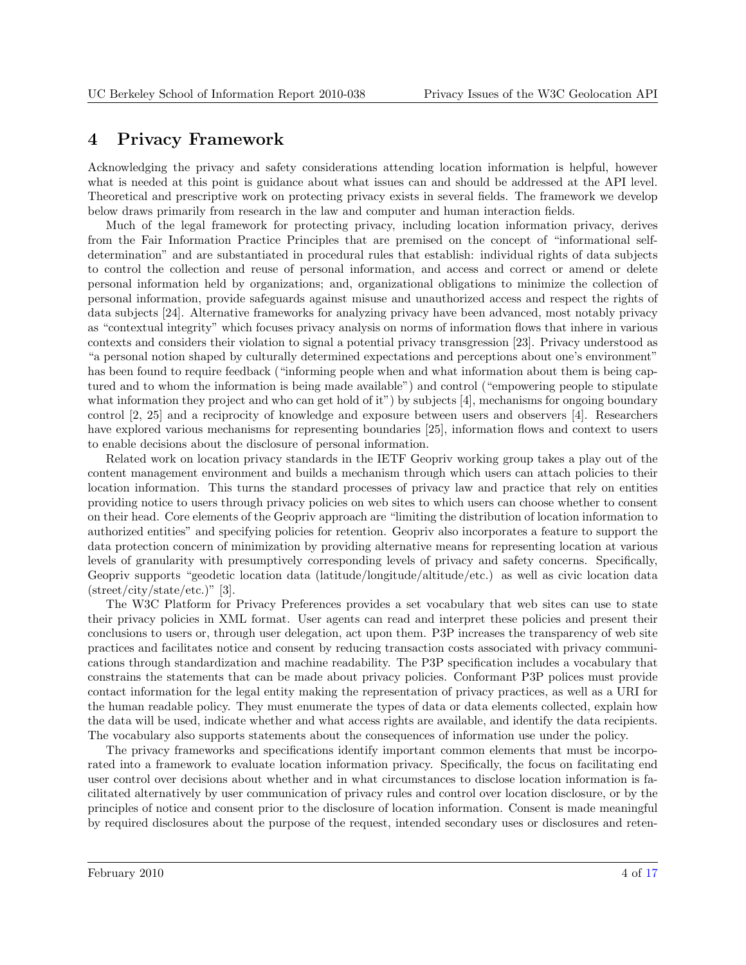### <span id="page-3-0"></span>4 Privacy Framework

Acknowledging the privacy and safety considerations attending location information is helpful, however what is needed at this point is guidance about what issues can and should be addressed at the API level. Theoretical and prescriptive work on protecting privacy exists in several fields. The framework we develop below draws primarily from research in the law and computer and human interaction fields.

Much of the legal framework for protecting privacy, including location information privacy, derives from the Fair Information Practice Principles that are premised on the concept of "informational selfdetermination" and are substantiated in procedural rules that establish: individual rights of data subjects to control the collection and reuse of personal information, and access and correct or amend or delete personal information held by organizations; and, organizational obligations to minimize the collection of personal information, provide safeguards against misuse and unauthorized access and respect the rights of data subjects [\[24\]](#page-15-0). Alternative frameworks for analyzing privacy have been advanced, most notably privacy as "contextual integrity" which focuses privacy analysis on norms of information flows that inhere in various contexts and considers their violation to signal a potential privacy transgression [\[23\]](#page-15-0). Privacy understood as "a personal notion shaped by culturally determined expectations and perceptions about one's environment" has been found to require feedback ("informing people when and what information about them is being captured and to whom the information is being made available") and control ("empowering people to stipulate what information they project and who can get hold of it") by subjects [\[4\]](#page-14-0), mechanisms for ongoing boundary control [\[2,](#page-14-0) [25\]](#page-15-0) and a reciprocity of knowledge and exposure between users and observers [\[4\]](#page-14-0). Researchers have explored various mechanisms for representing boundaries [\[25\]](#page-15-0), information flows and context to users to enable decisions about the disclosure of personal information.

Related work on location privacy standards in the IETF Geopriv working group takes a play out of the content management environment and builds a mechanism through which users can attach policies to their location information. This turns the standard processes of privacy law and practice that rely on entities providing notice to users through privacy policies on web sites to which users can choose whether to consent on their head. Core elements of the Geopriv approach are "limiting the distribution of location information to authorized entities" and specifying policies for retention. Geopriv also incorporates a feature to support the data protection concern of minimization by providing alternative means for representing location at various levels of granularity with presumptively corresponding levels of privacy and safety concerns. Specifically, Geopriv supports "geodetic location data (latitude/longitude/altitude/etc.) as well as civic location data  $(\text{street/city/state/etc.})$ " [\[3\]](#page-14-0).

The W3C Platform for Privacy Preferences provides a set vocabulary that web sites can use to state their privacy policies in XML format. User agents can read and interpret these policies and present their conclusions to users or, through user delegation, act upon them. P3P increases the transparency of web site practices and facilitates notice and consent by reducing transaction costs associated with privacy communications through standardization and machine readability. The P3P specification includes a vocabulary that constrains the statements that can be made about privacy policies. Conformant P3P polices must provide contact information for the legal entity making the representation of privacy practices, as well as a URI for the human readable policy. They must enumerate the types of data or data elements collected, explain how the data will be used, indicate whether and what access rights are available, and identify the data recipients. The vocabulary also supports statements about the consequences of information use under the policy.

The privacy frameworks and specifications identify important common elements that must be incorporated into a framework to evaluate location information privacy. Specifically, the focus on facilitating end user control over decisions about whether and in what circumstances to disclose location information is facilitated alternatively by user communication of privacy rules and control over location disclosure, or by the principles of notice and consent prior to the disclosure of location information. Consent is made meaningful by required disclosures about the purpose of the request, intended secondary uses or disclosures and reten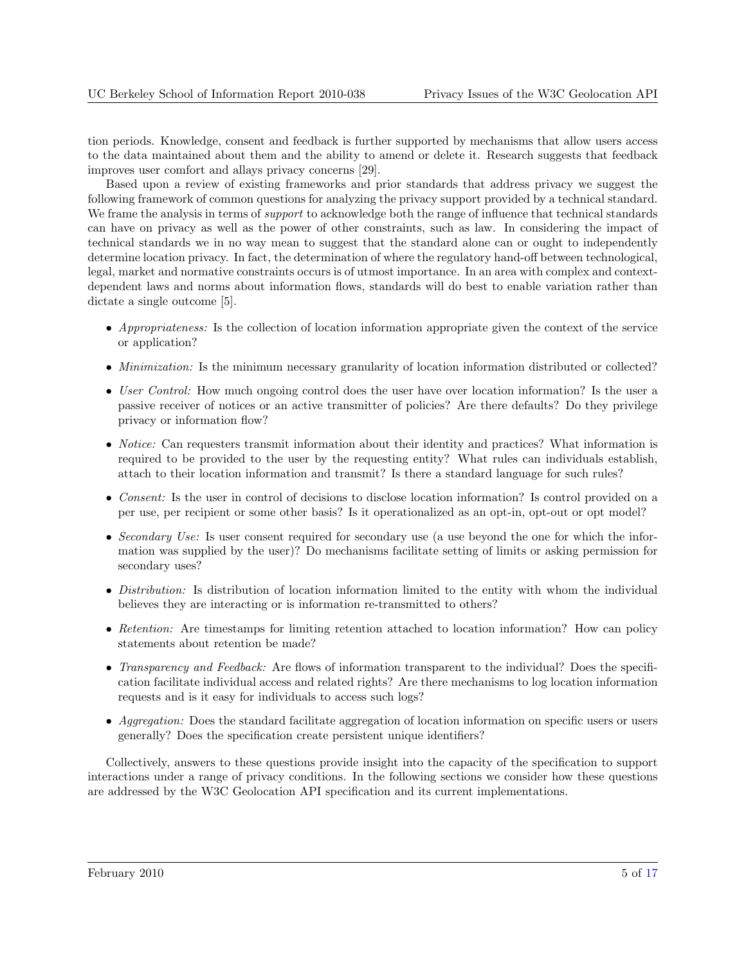tion periods. Knowledge, consent and feedback is further supported by mechanisms that allow users access to the data maintained about them and the ability to amend or delete it. Research suggests that feedback improves user comfort and allays privacy concerns [\[29\]](#page-16-0).

Based upon a review of existing frameworks and prior standards that address privacy we suggest the following framework of common questions for analyzing the privacy support provided by a technical standard. We frame the analysis in terms of *support* to acknowledge both the range of influence that technical standards can have on privacy as well as the power of other constraints, such as law. In considering the impact of technical standards we in no way mean to suggest that the standard alone can or ought to independently determine location privacy. In fact, the determination of where the regulatory hand-off between technological, legal, market and normative constraints occurs is of utmost importance. In an area with complex and contextdependent laws and norms about information flows, standards will do best to enable variation rather than dictate a single outcome [\[5\]](#page-14-0).

- Appropriateness: Is the collection of location information appropriate given the context of the service or application?
- *Minimization:* Is the minimum necessary granularity of location information distributed or collected?
- User Control: How much ongoing control does the user have over location information? Is the user a passive receiver of notices or an active transmitter of policies? Are there defaults? Do they privilege privacy or information flow?
- *Notice:* Can requesters transmit information about their identity and practices? What information is required to be provided to the user by the requesting entity? What rules can individuals establish, attach to their location information and transmit? Is there a standard language for such rules?
- Consent: Is the user in control of decisions to disclose location information? Is control provided on a per use, per recipient or some other basis? Is it operationalized as an opt-in, opt-out or opt model?
- Secondary Use: Is user consent required for secondary use (a use beyond the one for which the information was supplied by the user)? Do mechanisms facilitate setting of limits or asking permission for secondary uses?
- Distribution: Is distribution of location information limited to the entity with whom the individual believes they are interacting or is information re-transmitted to others?
- Retention: Are timestamps for limiting retention attached to location information? How can policy statements about retention be made?
- Transparency and Feedback: Are flows of information transparent to the individual? Does the specification facilitate individual access and related rights? Are there mechanisms to log location information requests and is it easy for individuals to access such logs?
- Aggregation: Does the standard facilitate aggregation of location information on specific users or users generally? Does the specification create persistent unique identifiers?

Collectively, answers to these questions provide insight into the capacity of the specification to support interactions under a range of privacy conditions. In the following sections we consider how these questions are addressed by the W3C Geolocation API specification and its current implementations.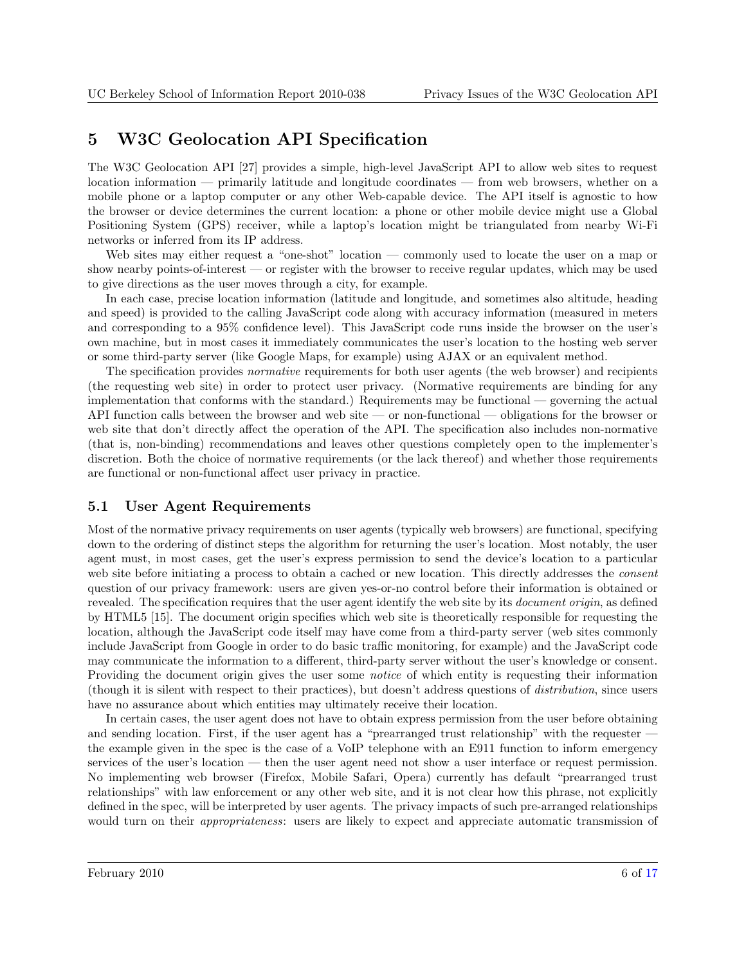### <span id="page-5-0"></span>5 W3C Geolocation API Specification

The W3C Geolocation API [\[27\]](#page-15-0) provides a simple, high-level JavaScript API to allow web sites to request location information — primarily latitude and longitude coordinates — from web browsers, whether on a mobile phone or a laptop computer or any other Web-capable device. The API itself is agnostic to how the browser or device determines the current location: a phone or other mobile device might use a Global Positioning System (GPS) receiver, while a laptop's location might be triangulated from nearby Wi-Fi networks or inferred from its IP address.

Web sites may either request a "one-shot" location — commonly used to locate the user on a map or show nearby points-of-interest — or register with the browser to receive regular updates, which may be used to give directions as the user moves through a city, for example.

In each case, precise location information (latitude and longitude, and sometimes also altitude, heading and speed) is provided to the calling JavaScript code along with accuracy information (measured in meters and corresponding to a 95% confidence level). This JavaScript code runs inside the browser on the user's own machine, but in most cases it immediately communicates the user's location to the hosting web server or some third-party server (like Google Maps, for example) using AJAX or an equivalent method.

The specification provides normative requirements for both user agents (the web browser) and recipients (the requesting web site) in order to protect user privacy. (Normative requirements are binding for any implementation that conforms with the standard.) Requirements may be functional — governing the actual API function calls between the browser and web site — or non-functional — obligations for the browser or web site that don't directly affect the operation of the API. The specification also includes non-normative (that is, non-binding) recommendations and leaves other questions completely open to the implementer's discretion. Both the choice of normative requirements (or the lack thereof) and whether those requirements are functional or non-functional affect user privacy in practice.

#### 5.1 User Agent Requirements

Most of the normative privacy requirements on user agents (typically web browsers) are functional, specifying down to the ordering of distinct steps the algorithm for returning the user's location. Most notably, the user agent must, in most cases, get the user's express permission to send the device's location to a particular web site before initiating a process to obtain a cached or new location. This directly addresses the *consent* question of our privacy framework: users are given yes-or-no control before their information is obtained or revealed. The specification requires that the user agent identify the web site by its *document origin*, as defined by HTML5 [\[15\]](#page-15-0). The document origin specifies which web site is theoretically responsible for requesting the location, although the JavaScript code itself may have come from a third-party server (web sites commonly include JavaScript from Google in order to do basic traffic monitoring, for example) and the JavaScript code may communicate the information to a different, third-party server without the user's knowledge or consent. Providing the document origin gives the user some notice of which entity is requesting their information (though it is silent with respect to their practices), but doesn't address questions of distribution, since users have no assurance about which entities may ultimately receive their location.

In certain cases, the user agent does not have to obtain express permission from the user before obtaining and sending location. First, if the user agent has a "prearranged trust relationship" with the requester  $\cdot$ the example given in the spec is the case of a VoIP telephone with an E911 function to inform emergency services of the user's location — then the user agent need not show a user interface or request permission. No implementing web browser (Firefox, Mobile Safari, Opera) currently has default "prearranged trust relationships" with law enforcement or any other web site, and it is not clear how this phrase, not explicitly defined in the spec, will be interpreted by user agents. The privacy impacts of such pre-arranged relationships would turn on their *appropriateness*: users are likely to expect and appreciate automatic transmission of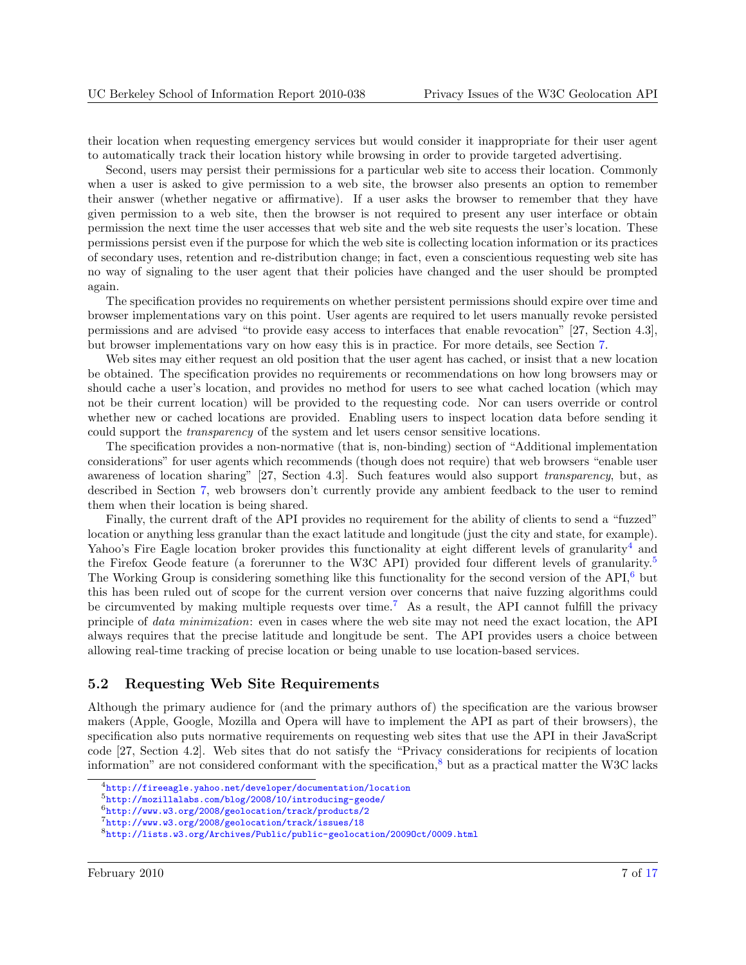<span id="page-6-0"></span>their location when requesting emergency services but would consider it inappropriate for their user agent to automatically track their location history while browsing in order to provide targeted advertising.

Second, users may persist their permissions for a particular web site to access their location. Commonly when a user is asked to give permission to a web site, the browser also presents an option to remember their answer (whether negative or affirmative). If a user asks the browser to remember that they have given permission to a web site, then the browser is not required to present any user interface or obtain permission the next time the user accesses that web site and the web site requests the user's location. These permissions persist even if the purpose for which the web site is collecting location information or its practices of secondary uses, retention and re-distribution change; in fact, even a conscientious requesting web site has no way of signaling to the user agent that their policies have changed and the user should be prompted again.

The specification provides no requirements on whether persistent permissions should expire over time and browser implementations vary on this point. User agents are required to let users manually revoke persisted permissions and are advised "to provide easy access to interfaces that enable revocation" [\[27,](#page-15-0) Section 4.3], but browser implementations vary on how easy this is in practice. For more details, see Section [7.](#page-10-0)

Web sites may either request an old position that the user agent has cached, or insist that a new location be obtained. The specification provides no requirements or recommendations on how long browsers may or should cache a user's location, and provides no method for users to see what cached location (which may not be their current location) will be provided to the requesting code. Nor can users override or control whether new or cached locations are provided. Enabling users to inspect location data before sending it could support the transparency of the system and let users censor sensitive locations.

The specification provides a non-normative (that is, non-binding) section of "Additional implementation considerations" for user agents which recommends (though does not require) that web browsers "enable user awareness of location sharing" [\[27,](#page-15-0) Section 4.3]. Such features would also support transparency, but, as described in Section [7,](#page-10-0) web browsers don't currently provide any ambient feedback to the user to remind them when their location is being shared.

Finally, the current draft of the API provides no requirement for the ability of clients to send a "fuzzed" location or anything less granular than the exact latitude and longitude (just the city and state, for example). Yahoo's Fire Eagle location broker provides this functionality at eight different levels of granularity<sup>4</sup> and the Firefox Geode feature (a forerunner to the W3C API) provided four different levels of granularity.<sup>5</sup> The Working Group is considering something like this functionality for the second version of the  $API<sub>1</sub><sup>6</sup>$  but this has been ruled out of scope for the current version over concerns that naive fuzzing algorithms could be circumvented by making multiple requests over time.<sup>7</sup> As a result, the API cannot fulfill the privacy principle of data minimization: even in cases where the web site may not need the exact location, the API always requires that the precise latitude and longitude be sent. The API provides users a choice between allowing real-time tracking of precise location or being unable to use location-based services.

#### 5.2 Requesting Web Site Requirements

Although the primary audience for (and the primary authors of) the specification are the various browser makers (Apple, Google, Mozilla and Opera will have to implement the API as part of their browsers), the specification also puts normative requirements on requesting web sites that use the API in their JavaScript code [\[27,](#page-15-0) Section 4.2]. Web sites that do not satisfy the "Privacy considerations for recipients of location information" are not considered conformant with the specification, $8$  but as a practical matter the W3C lacks

<sup>4</sup><http://fireeagle.yahoo.net/developer/documentation/location>

<sup>5</sup><http://mozillalabs.com/blog/2008/10/introducing-geode/>

<sup>6</sup><http://www.w3.org/2008/geolocation/track/products/2>

<sup>7</sup><http://www.w3.org/2008/geolocation/track/issues/18>

<sup>8</sup><http://lists.w3.org/Archives/Public/public-geolocation/2009Oct/0009.html>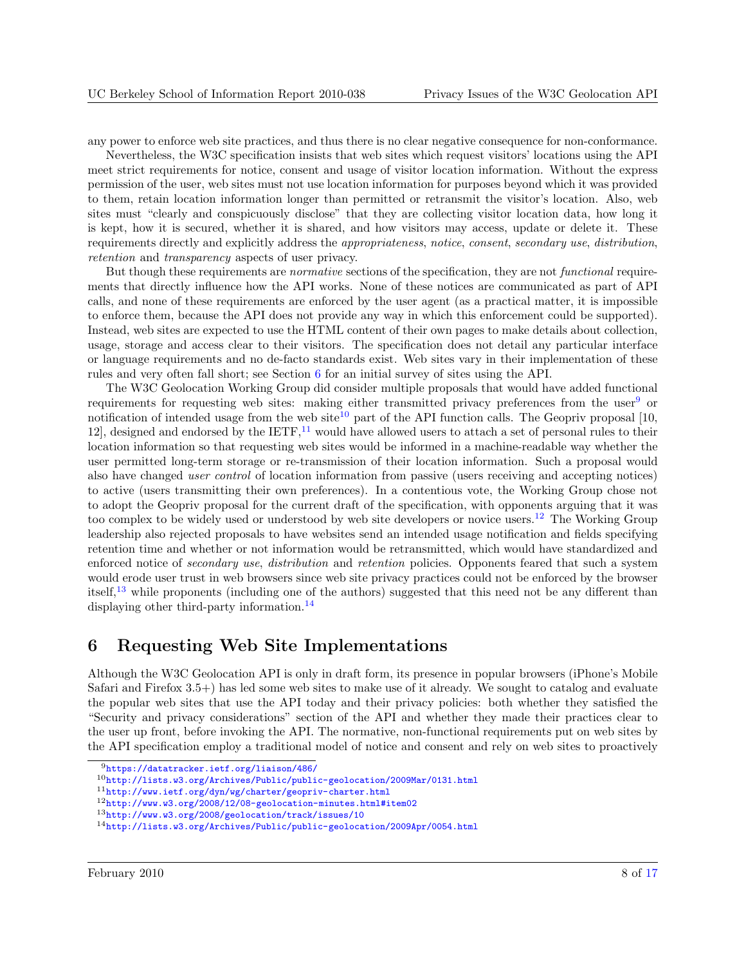<span id="page-7-0"></span>any power to enforce web site practices, and thus there is no clear negative consequence for non-conformance.

Nevertheless, the W3C specification insists that web sites which request visitors' locations using the API meet strict requirements for notice, consent and usage of visitor location information. Without the express permission of the user, web sites must not use location information for purposes beyond which it was provided to them, retain location information longer than permitted or retransmit the visitor's location. Also, web sites must "clearly and conspicuously disclose" that they are collecting visitor location data, how long it is kept, how it is secured, whether it is shared, and how visitors may access, update or delete it. These requirements directly and explicitly address the appropriateness, notice, consent, secondary use, distribution, retention and transparency aspects of user privacy.

But though these requirements are *normative* sections of the specification, they are not *functional* requirements that directly influence how the API works. None of these notices are communicated as part of API calls, and none of these requirements are enforced by the user agent (as a practical matter, it is impossible to enforce them, because the API does not provide any way in which this enforcement could be supported). Instead, web sites are expected to use the HTML content of their own pages to make details about collection, usage, storage and access clear to their visitors. The specification does not detail any particular interface or language requirements and no de-facto standards exist. Web sites vary in their implementation of these rules and very often fall short; see Section 6 for an initial survey of sites using the API.

The W3C Geolocation Working Group did consider multiple proposals that would have added functional requirements for requesting web sites: making either transmitted privacy preferences from the user<sup>9</sup> or notification of intended usage from the web site<sup>10</sup> part of the API function calls. The Geopriv proposal [\[10,](#page-14-0) [12\]](#page-14-0), designed and endorsed by the  $IETF$ ,<sup>11</sup> would have allowed users to attach a set of personal rules to their location information so that requesting web sites would be informed in a machine-readable way whether the user permitted long-term storage or re-transmission of their location information. Such a proposal would also have changed user control of location information from passive (users receiving and accepting notices) to active (users transmitting their own preferences). In a contentious vote, the Working Group chose not to adopt the Geopriv proposal for the current draft of the specification, with opponents arguing that it was too complex to be widely used or understood by web site developers or novice users.<sup>12</sup> The Working Group leadership also rejected proposals to have websites send an intended usage notification and fields specifying retention time and whether or not information would be retransmitted, which would have standardized and enforced notice of *secondary use, distribution* and *retention* policies. Opponents feared that such a system would erode user trust in web browsers since web site privacy practices could not be enforced by the browser itself,<sup>13</sup> while proponents (including one of the authors) suggested that this need not be any different than displaying other third-party information.<sup>14</sup>

### 6 Requesting Web Site Implementations

Although the W3C Geolocation API is only in draft form, its presence in popular browsers (iPhone's Mobile Safari and Firefox 3.5+) has led some web sites to make use of it already. We sought to catalog and evaluate the popular web sites that use the API today and their privacy policies: both whether they satisfied the "Security and privacy considerations" section of the API and whether they made their practices clear to the user up front, before invoking the API. The normative, non-functional requirements put on web sites by the API specification employ a traditional model of notice and consent and rely on web sites to proactively

<sup>9</sup><https://datatracker.ietf.org/liaison/486/>

<sup>10</sup><http://lists.w3.org/Archives/Public/public-geolocation/2009Mar/0131.html>

<sup>11</sup><http://www.ietf.org/dyn/wg/charter/geopriv-charter.html>

<sup>12</sup><http://www.w3.org/2008/12/08-geolocation-minutes.html#item02>

<sup>13</sup><http://www.w3.org/2008/geolocation/track/issues/10>

<sup>14</sup><http://lists.w3.org/Archives/Public/public-geolocation/2009Apr/0054.html>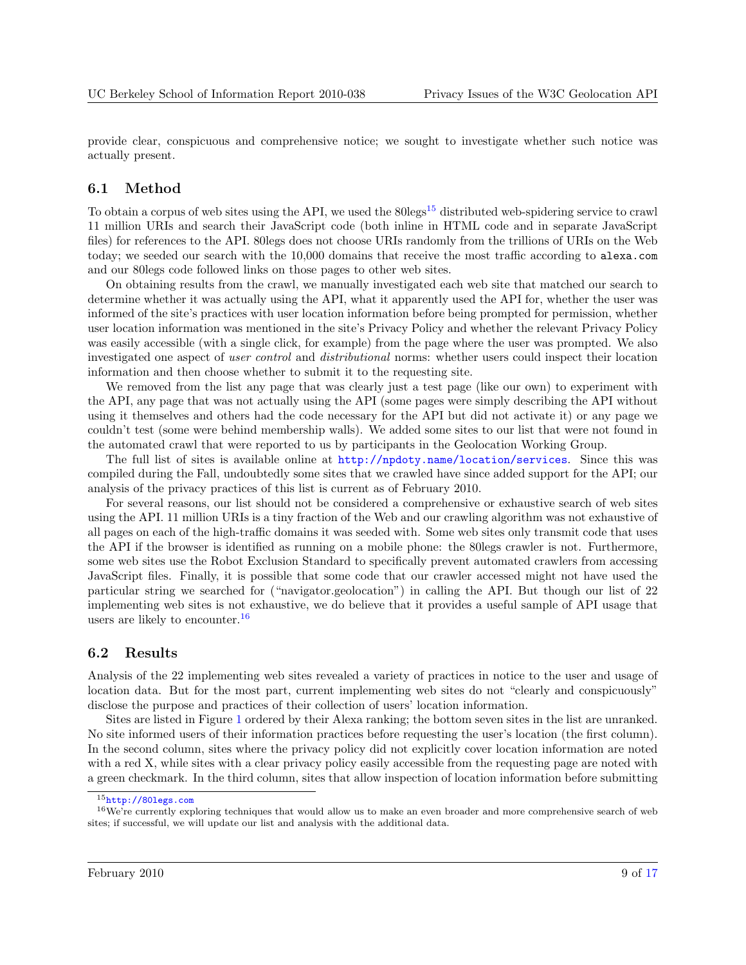<span id="page-8-0"></span>provide clear, conspicuous and comprehensive notice; we sought to investigate whether such notice was actually present.

#### 6.1 Method

To obtain a corpus of web sites using the API, we used the  $80\text{legs}^{15}$  distributed web-spidering service to crawl 11 million URIs and search their JavaScript code (both inline in HTML code and in separate JavaScript files) for references to the API. 80legs does not choose URIs randomly from the trillions of URIs on the Web today; we seeded our search with the 10,000 domains that receive the most traffic according to alexa.com and our 80legs code followed links on those pages to other web sites.

On obtaining results from the crawl, we manually investigated each web site that matched our search to determine whether it was actually using the API, what it apparently used the API for, whether the user was informed of the site's practices with user location information before being prompted for permission, whether user location information was mentioned in the site's Privacy Policy and whether the relevant Privacy Policy was easily accessible (with a single click, for example) from the page where the user was prompted. We also investigated one aspect of user control and distributional norms: whether users could inspect their location information and then choose whether to submit it to the requesting site.

We removed from the list any page that was clearly just a test page (like our own) to experiment with the API, any page that was not actually using the API (some pages were simply describing the API without using it themselves and others had the code necessary for the API but did not activate it) or any page we couldn't test (some were behind membership walls). We added some sites to our list that were not found in the automated crawl that were reported to us by participants in the Geolocation Working Group.

The full list of sites is available online at <http://npdoty.name/location/services>. Since this was compiled during the Fall, undoubtedly some sites that we crawled have since added support for the API; our analysis of the privacy practices of this list is current as of February 2010.

For several reasons, our list should not be considered a comprehensive or exhaustive search of web sites using the API. 11 million URIs is a tiny fraction of the Web and our crawling algorithm was not exhaustive of all pages on each of the high-traffic domains it was seeded with. Some web sites only transmit code that uses the API if the browser is identified as running on a mobile phone: the 80legs crawler is not. Furthermore, some web sites use the Robot Exclusion Standard to specifically prevent automated crawlers from accessing JavaScript files. Finally, it is possible that some code that our crawler accessed might not have used the particular string we searched for ("navigator.geolocation") in calling the API. But though our list of 22 implementing web sites is not exhaustive, we do believe that it provides a useful sample of API usage that users are likely to encounter.<sup>16</sup>

#### 6.2 Results

Analysis of the 22 implementing web sites revealed a variety of practices in notice to the user and usage of location data. But for the most part, current implementing web sites do not "clearly and conspicuously" disclose the purpose and practices of their collection of users' location information.

Sites are listed in Figure [1](#page-9-0) ordered by their Alexa ranking; the bottom seven sites in the list are unranked. No site informed users of their information practices before requesting the user's location (the first column). In the second column, sites where the privacy policy did not explicitly cover location information are noted with a red X, while sites with a clear privacy policy easily accessible from the requesting page are noted with a green checkmark. In the third column, sites that allow inspection of location information before submitting

<sup>15</sup><http://80legs.com>

 $16\,\text{We're currently exploring techniques that would allow us to make an even broader and more comprehensive search of web.}$ sites; if successful, we will update our list and analysis with the additional data.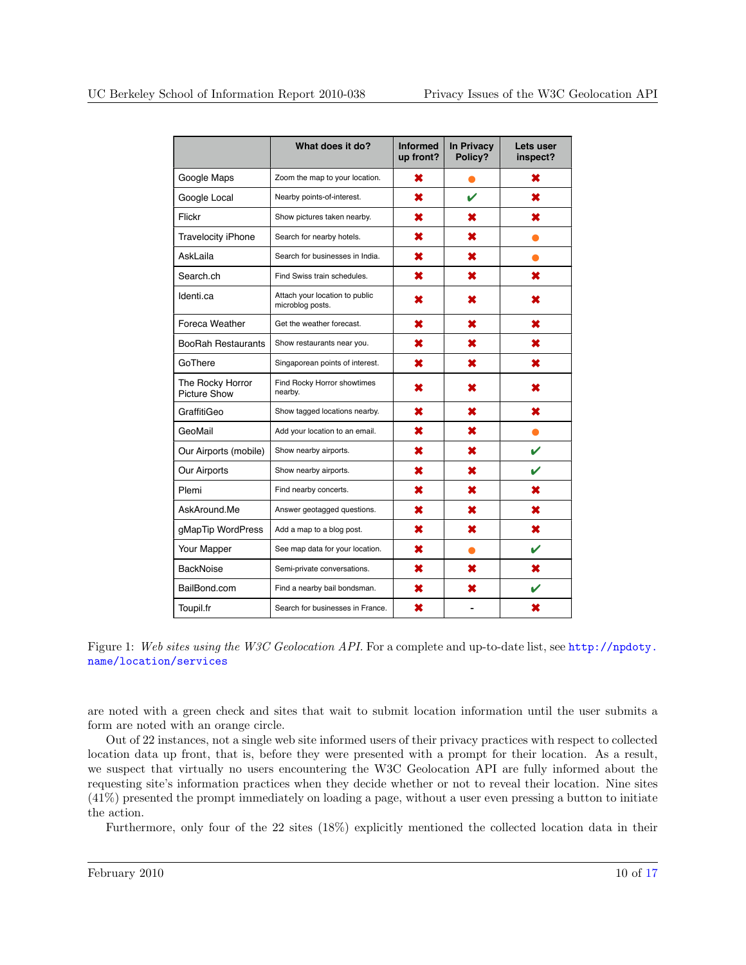<span id="page-9-0"></span>

|                                         | What does it do?                                   | <b>Informed</b><br>up front? | <b>In Privacy</b><br>Policy? | Lets user<br>inspect? |
|-----------------------------------------|----------------------------------------------------|------------------------------|------------------------------|-----------------------|
| Google Maps                             | Zoom the map to your location.                     | ×                            |                              | ×                     |
| Google Local                            | Nearby points-of-interest.                         | ×                            | V                            | x                     |
| Flickr                                  | Show pictures taken nearby.                        | ×                            | ×                            | ×                     |
| <b>Travelocity iPhone</b>               | Search for nearby hotels.                          | ×                            | ×                            |                       |
| AskLaila                                | Search for businesses in India.                    | ×                            | ×                            |                       |
| Search.ch                               | Find Swiss train schedules.                        | ×                            | ×                            | ×                     |
| Identi.ca                               | Attach your location to public<br>microblog posts. | x                            | x                            | x                     |
| Foreca Weather                          | Get the weather forecast.                          | ×                            | ×                            | ×                     |
| <b>BooRah Restaurants</b>               | Show restaurants near you.                         | ×                            | ×                            | ×                     |
| GoThere                                 | Singaporean points of interest.                    | ×                            | ×                            | ×                     |
| The Rocky Horror<br><b>Picture Show</b> | Find Rocky Horror showtimes<br>nearby.             | ×                            | ×                            | x                     |
| GraffitiGeo                             | Show tagged locations nearby.                      | ×                            | ×                            | x                     |
| GeoMail                                 | Add your location to an email.                     | ×                            | ×                            |                       |
| Our Airports (mobile)                   | Show nearby airports.                              | ×                            | ×                            | ✔                     |
| Our Airports                            | Show nearby airports.                              | ×                            | ×                            | v                     |
| Plemi                                   | Find nearby concerts.                              | ×                            | ×                            | x                     |
| AskAround.Me                            | Answer geotagged questions.                        | ×                            | ×                            | x                     |
| gMapTip WordPress                       | Add a map to a blog post.                          | ×                            | ×                            | ×                     |
| Your Mapper                             | See map data for your location.                    | ×                            | ●                            | V                     |
| <b>BackNoise</b>                        | Semi-private conversations.                        | ×                            | ×                            | ×                     |
| BailBond.com                            | Find a nearby bail bondsman.                       | ×                            | ×                            | v                     |
| Toupil.fr                               | Search for businesses in France.                   | ×                            |                              | ×                     |

Figure 1: Web sites using the W3C Geolocation API. For a complete and up-to-date list, see [http://npdoty.](http://npdoty.name/location/services) [name/location/services](http://npdoty.name/location/services)

are noted with a green check and sites that wait to submit location information until the user submits a form are noted with an orange circle.

Out of 22 instances, not a single web site informed users of their privacy practices with respect to collected location data up front, that is, before they were presented with a prompt for their location. As a result, we suspect that virtually no users encountering the W3C Geolocation API are fully informed about the requesting site's information practices when they decide whether or not to reveal their location. Nine sites (41%) presented the prompt immediately on loading a page, without a user even pressing a button to initiate the action.

Furthermore, only four of the 22 sites (18%) explicitly mentioned the collected location data in their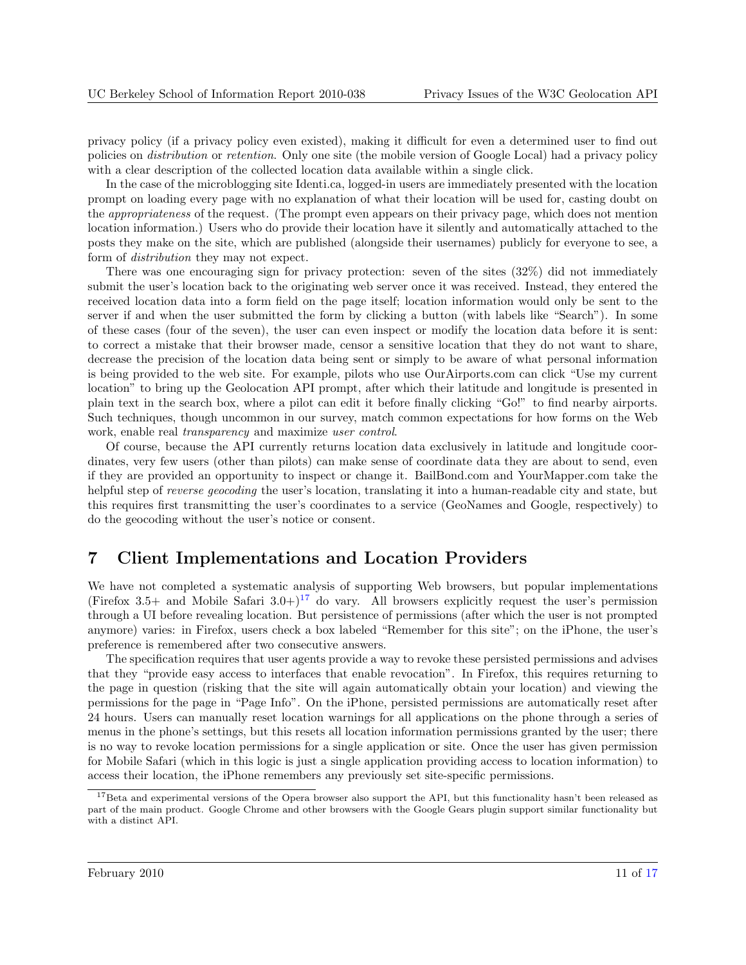<span id="page-10-0"></span>privacy policy (if a privacy policy even existed), making it difficult for even a determined user to find out policies on distribution or retention. Only one site (the mobile version of Google Local) had a privacy policy with a clear description of the collected location data available within a single click.

In the case of the microblogging site Identi.ca, logged-in users are immediately presented with the location prompt on loading every page with no explanation of what their location will be used for, casting doubt on the *appropriateness* of the request. (The prompt even appears on their privacy page, which does not mention location information.) Users who do provide their location have it silently and automatically attached to the posts they make on the site, which are published (alongside their usernames) publicly for everyone to see, a form of distribution they may not expect.

There was one encouraging sign for privacy protection: seven of the sites (32%) did not immediately submit the user's location back to the originating web server once it was received. Instead, they entered the received location data into a form field on the page itself; location information would only be sent to the server if and when the user submitted the form by clicking a button (with labels like "Search"). In some of these cases (four of the seven), the user can even inspect or modify the location data before it is sent: to correct a mistake that their browser made, censor a sensitive location that they do not want to share, decrease the precision of the location data being sent or simply to be aware of what personal information is being provided to the web site. For example, pilots who use OurAirports.com can click "Use my current location" to bring up the Geolocation API prompt, after which their latitude and longitude is presented in plain text in the search box, where a pilot can edit it before finally clicking "Go!" to find nearby airports. Such techniques, though uncommon in our survey, match common expectations for how forms on the Web work, enable real *transparency* and maximize *user control*.

Of course, because the API currently returns location data exclusively in latitude and longitude coordinates, very few users (other than pilots) can make sense of coordinate data they are about to send, even if they are provided an opportunity to inspect or change it. BailBond.com and YourMapper.com take the helpful step of *reverse geocoding* the user's location, translating it into a human-readable city and state, but this requires first transmitting the user's coordinates to a service (GeoNames and Google, respectively) to do the geocoding without the user's notice or consent.

## 7 Client Implementations and Location Providers

We have not completed a systematic analysis of supporting Web browsers, but popular implementations (Firefox 3.5+ and Mobile Safari 3.0+)<sup>17</sup> do vary. All browsers explicitly request the user's permission through a UI before revealing location. But persistence of permissions (after which the user is not prompted anymore) varies: in Firefox, users check a box labeled "Remember for this site"; on the iPhone, the user's preference is remembered after two consecutive answers.

The specification requires that user agents provide a way to revoke these persisted permissions and advises that they "provide easy access to interfaces that enable revocation". In Firefox, this requires returning to the page in question (risking that the site will again automatically obtain your location) and viewing the permissions for the page in "Page Info". On the iPhone, persisted permissions are automatically reset after 24 hours. Users can manually reset location warnings for all applications on the phone through a series of menus in the phone's settings, but this resets all location information permissions granted by the user; there is no way to revoke location permissions for a single application or site. Once the user has given permission for Mobile Safari (which in this logic is just a single application providing access to location information) to access their location, the iPhone remembers any previously set site-specific permissions.

<sup>&</sup>lt;sup>17</sup>Beta and experimental versions of the Opera browser also support the API, but this functionality hasn't been released as part of the main product. Google Chrome and other browsers with the Google Gears plugin support similar functionality but with a distinct API.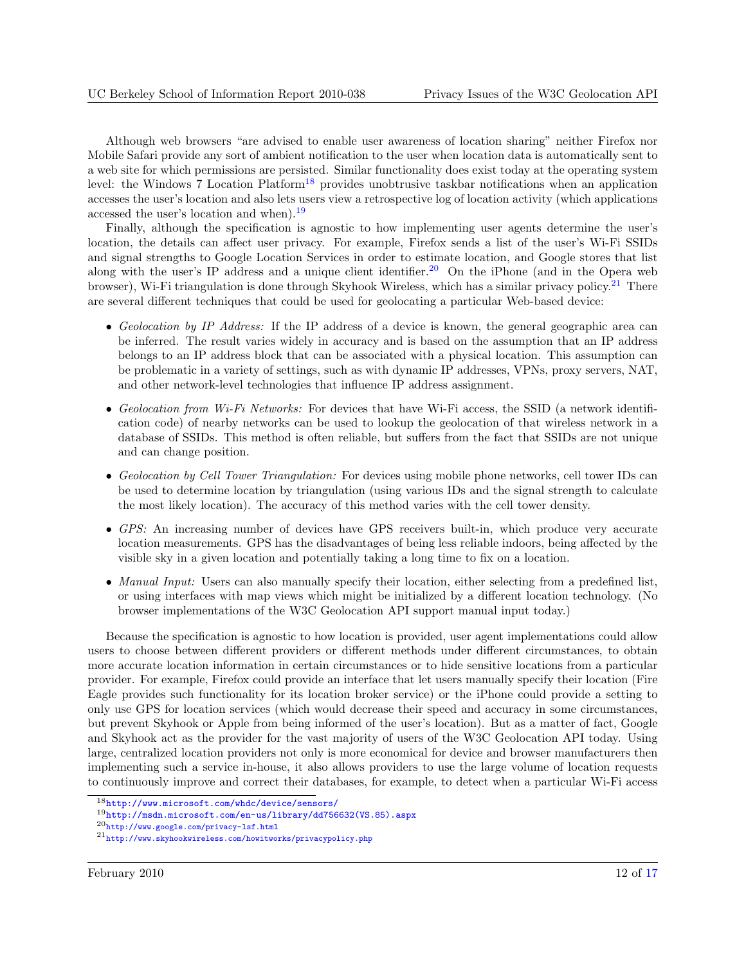Although web browsers "are advised to enable user awareness of location sharing" neither Firefox nor Mobile Safari provide any sort of ambient notification to the user when location data is automatically sent to a web site for which permissions are persisted. Similar functionality does exist today at the operating system level: the Windows 7 Location Platform<sup>18</sup> provides unobtrusive taskbar notifications when an application accesses the user's location and also lets users view a retrospective log of location activity (which applications accessed the user's location and when).<sup>19</sup>

Finally, although the specification is agnostic to how implementing user agents determine the user's location, the details can affect user privacy. For example, Firefox sends a list of the user's Wi-Fi SSIDs and signal strengths to Google Location Services in order to estimate location, and Google stores that list along with the user's IP address and a unique client identifier.<sup>20</sup> On the iPhone (and in the Opera web browser), Wi-Fi triangulation is done through Skyhook Wireless, which has a similar privacy policy.<sup>21</sup> There are several different techniques that could be used for geolocating a particular Web-based device:

- Geolocation by IP Address: If the IP address of a device is known, the general geographic area can be inferred. The result varies widely in accuracy and is based on the assumption that an IP address belongs to an IP address block that can be associated with a physical location. This assumption can be problematic in a variety of settings, such as with dynamic IP addresses, VPNs, proxy servers, NAT, and other network-level technologies that influence IP address assignment.
- Geolocation from  $Wi$ -Fi Networks: For devices that have Wi-Fi access, the SSID (a network identification code) of nearby networks can be used to lookup the geolocation of that wireless network in a database of SSIDs. This method is often reliable, but suffers from the fact that SSIDs are not unique and can change position.
- Geolocation by Cell Tower Triangulation: For devices using mobile phone networks, cell tower IDs can be used to determine location by triangulation (using various IDs and the signal strength to calculate the most likely location). The accuracy of this method varies with the cell tower density.
- GPS: An increasing number of devices have GPS receivers built-in, which produce very accurate location measurements. GPS has the disadvantages of being less reliable indoors, being affected by the visible sky in a given location and potentially taking a long time to fix on a location.
- Manual Input: Users can also manually specify their location, either selecting from a predefined list, or using interfaces with map views which might be initialized by a different location technology. (No browser implementations of the W3C Geolocation API support manual input today.)

Because the specification is agnostic to how location is provided, user agent implementations could allow users to choose between different providers or different methods under different circumstances, to obtain more accurate location information in certain circumstances or to hide sensitive locations from a particular provider. For example, Firefox could provide an interface that let users manually specify their location (Fire Eagle provides such functionality for its location broker service) or the iPhone could provide a setting to only use GPS for location services (which would decrease their speed and accuracy in some circumstances, but prevent Skyhook or Apple from being informed of the user's location). But as a matter of fact, Google and Skyhook act as the provider for the vast majority of users of the W3C Geolocation API today. Using large, centralized location providers not only is more economical for device and browser manufacturers then implementing such a service in-house, it also allows providers to use the large volume of location requests to continuously improve and correct their databases, for example, to detect when a particular Wi-Fi access

<sup>18</sup><http://www.microsoft.com/whdc/device/sensors/>

 $19$ [http://msdn.microsoft.com/en-us/library/dd756632\(VS.85\).aspx](http://msdn.microsoft.com/en-us/library/dd756632(VS.85).aspx)

<sup>20</sup><http://www.google.com/privacy-lsf.html>

<sup>21</sup><http://www.skyhookwireless.com/howitworks/privacypolicy.php>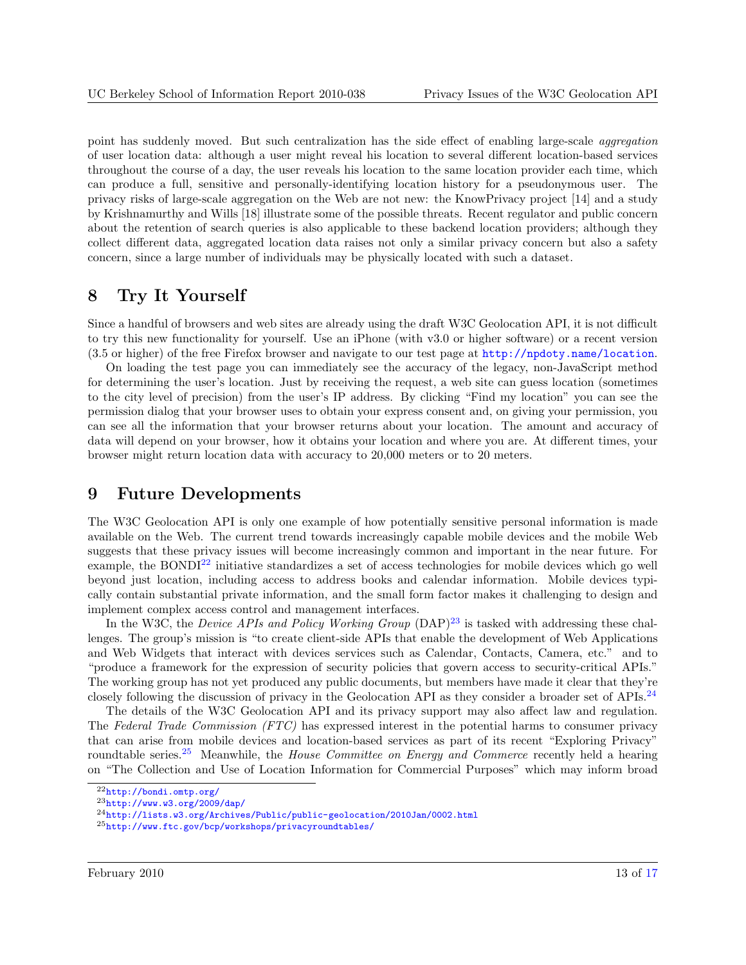<span id="page-12-0"></span>point has suddenly moved. But such centralization has the side effect of enabling large-scale aggregation of user location data: although a user might reveal his location to several different location-based services throughout the course of a day, the user reveals his location to the same location provider each time, which can produce a full, sensitive and personally-identifying location history for a pseudonymous user. The privacy risks of large-scale aggregation on the Web are not new: the KnowPrivacy project [\[14\]](#page-15-0) and a study by Krishnamurthy and Wills [\[18\]](#page-15-0) illustrate some of the possible threats. Recent regulator and public concern about the retention of search queries is also applicable to these backend location providers; although they collect different data, aggregated location data raises not only a similar privacy concern but also a safety concern, since a large number of individuals may be physically located with such a dataset.

### 8 Try It Yourself

Since a handful of browsers and web sites are already using the draft W3C Geolocation API, it is not difficult to try this new functionality for yourself. Use an iPhone (with v3.0 or higher software) or a recent version (3.5 or higher) of the free Firefox browser and navigate to our test page at <http://npdoty.name/location>.

On loading the test page you can immediately see the accuracy of the legacy, non-JavaScript method for determining the user's location. Just by receiving the request, a web site can guess location (sometimes to the city level of precision) from the user's IP address. By clicking "Find my location" you can see the permission dialog that your browser uses to obtain your express consent and, on giving your permission, you can see all the information that your browser returns about your location. The amount and accuracy of data will depend on your browser, how it obtains your location and where you are. At different times, your browser might return location data with accuracy to 20,000 meters or to 20 meters.

### 9 Future Developments

The W3C Geolocation API is only one example of how potentially sensitive personal information is made available on the Web. The current trend towards increasingly capable mobile devices and the mobile Web suggests that these privacy issues will become increasingly common and important in the near future. For example, the BONDI<sup>22</sup> initiative standardizes a set of access technologies for mobile devices which go well beyond just location, including access to address books and calendar information. Mobile devices typically contain substantial private information, and the small form factor makes it challenging to design and implement complex access control and management interfaces.

In the W3C, the *Device APIs and Policy Working Group*  $(DAP)^{23}$  is tasked with addressing these challenges. The group's mission is "to create client-side APIs that enable the development of Web Applications and Web Widgets that interact with devices services such as Calendar, Contacts, Camera, etc." and to "produce a framework for the expression of security policies that govern access to security-critical APIs." The working group has not yet produced any public documents, but members have made it clear that they're closely following the discussion of privacy in the Geolocation API as they consider a broader set of APIs.<sup>24</sup>

The details of the W3C Geolocation API and its privacy support may also affect law and regulation. The Federal Trade Commission (FTC) has expressed interest in the potential harms to consumer privacy that can arise from mobile devices and location-based services as part of its recent "Exploring Privacy" roundtable series.<sup>25</sup> Meanwhile, the *House Committee on Energy and Commerce* recently held a hearing on "The Collection and Use of Location Information for Commercial Purposes" which may inform broad

<sup>22</sup><http://bondi.omtp.org/>

<sup>23</sup><http://www.w3.org/2009/dap/>

<sup>24</sup><http://lists.w3.org/Archives/Public/public-geolocation/2010Jan/0002.html>

<sup>25</sup><http://www.ftc.gov/bcp/workshops/privacyroundtables/>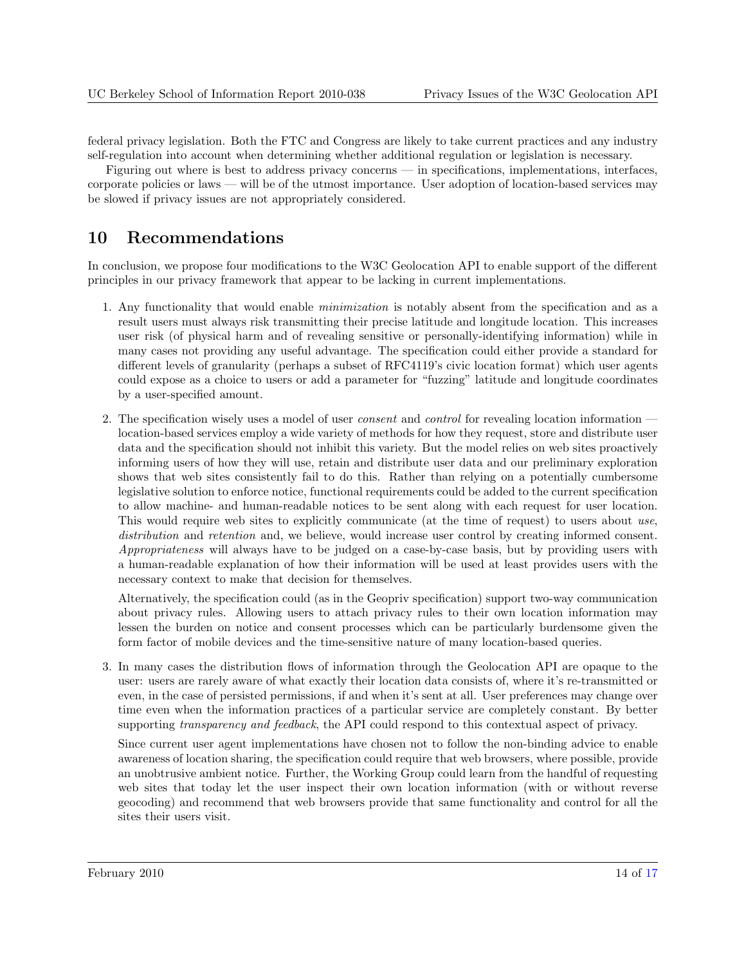<span id="page-13-0"></span>federal privacy legislation. Both the FTC and Congress are likely to take current practices and any industry self-regulation into account when determining whether additional regulation or legislation is necessary.

Figuring out where is best to address privacy concerns — in specifications, implementations, interfaces, corporate policies or laws — will be of the utmost importance. User adoption of location-based services may be slowed if privacy issues are not appropriately considered.

## 10 Recommendations

In conclusion, we propose four modifications to the W3C Geolocation API to enable support of the different principles in our privacy framework that appear to be lacking in current implementations.

- 1. Any functionality that would enable minimization is notably absent from the specification and as a result users must always risk transmitting their precise latitude and longitude location. This increases user risk (of physical harm and of revealing sensitive or personally-identifying information) while in many cases not providing any useful advantage. The specification could either provide a standard for different levels of granularity (perhaps a subset of RFC4119's civic location format) which user agents could expose as a choice to users or add a parameter for "fuzzing" latitude and longitude coordinates by a user-specified amount.
- 2. The specification wisely uses a model of user *consent* and *control* for revealing location information location-based services employ a wide variety of methods for how they request, store and distribute user data and the specification should not inhibit this variety. But the model relies on web sites proactively informing users of how they will use, retain and distribute user data and our preliminary exploration shows that web sites consistently fail to do this. Rather than relying on a potentially cumbersome legislative solution to enforce notice, functional requirements could be added to the current specification to allow machine- and human-readable notices to be sent along with each request for user location. This would require web sites to explicitly communicate (at the time of request) to users about use, distribution and retention and, we believe, would increase user control by creating informed consent. Appropriateness will always have to be judged on a case-by-case basis, but by providing users with a human-readable explanation of how their information will be used at least provides users with the necessary context to make that decision for themselves.

Alternatively, the specification could (as in the Geopriv specification) support two-way communication about privacy rules. Allowing users to attach privacy rules to their own location information may lessen the burden on notice and consent processes which can be particularly burdensome given the form factor of mobile devices and the time-sensitive nature of many location-based queries.

3. In many cases the distribution flows of information through the Geolocation API are opaque to the user: users are rarely aware of what exactly their location data consists of, where it's re-transmitted or even, in the case of persisted permissions, if and when it's sent at all. User preferences may change over time even when the information practices of a particular service are completely constant. By better supporting *transparency and feedback*, the API could respond to this contextual aspect of privacy.

Since current user agent implementations have chosen not to follow the non-binding advice to enable awareness of location sharing, the specification could require that web browsers, where possible, provide an unobtrusive ambient notice. Further, the Working Group could learn from the handful of requesting web sites that today let the user inspect their own location information (with or without reverse geocoding) and recommend that web browsers provide that same functionality and control for all the sites their users visit.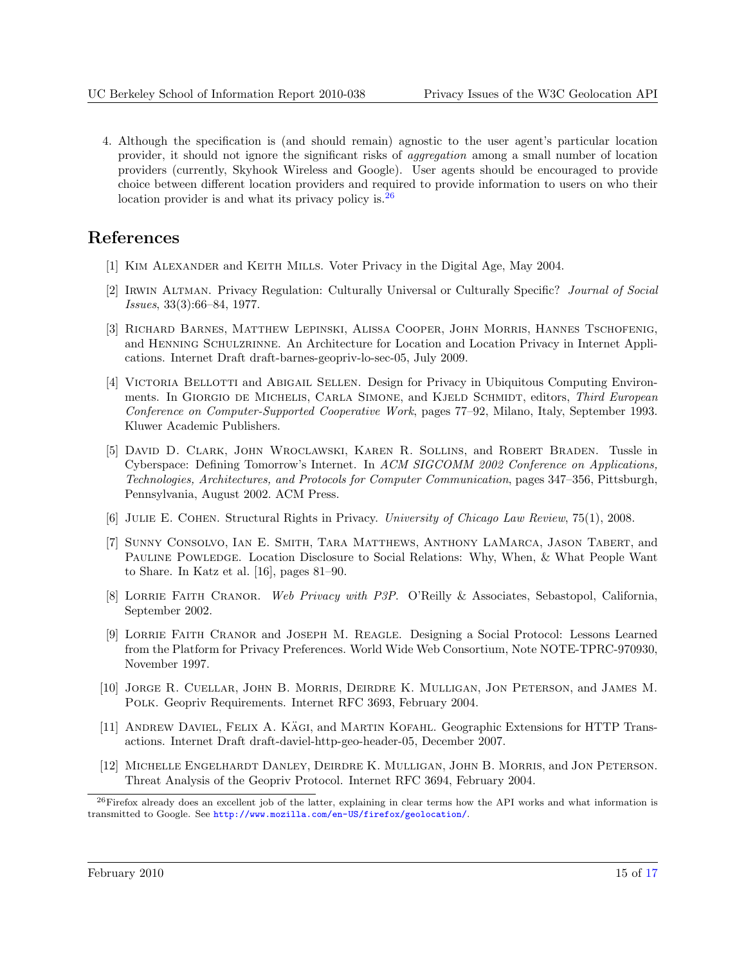<span id="page-14-0"></span>4. Although the specification is (and should remain) agnostic to the user agent's particular location provider, it should not ignore the significant risks of aggregation among a small number of location providers (currently, Skyhook Wireless and Google). User agents should be encouraged to provide choice between different location providers and required to provide information to users on who their location provider is and what its privacy policy is.<sup>26</sup>

## References

- [1] Kim Alexander and Keith Mills. Voter Privacy in the Digital Age, May 2004.
- [2] Irwin Altman. Privacy Regulation: Culturally Universal or Culturally Specific? Journal of Social Issues, 33(3):66–84, 1977.
- [3] Richard Barnes, Matthew Lepinski, Alissa Cooper, John Morris, Hannes Tschofenig, and Henning Schulzrinne. An Architecture for Location and Location Privacy in Internet Applications. Internet Draft draft-barnes-geopriv-lo-sec-05, July 2009.
- [4] VICTORIA BELLOTTI and ABIGAIL SELLEN. Design for Privacy in Ubiquitous Computing Environments. In GIORGIO DE MICHELIS, CARLA SIMONE, and KJELD SCHMIDT, editors, Third European Conference on Computer-Supported Cooperative Work, pages 77–92, Milano, Italy, September 1993. Kluwer Academic Publishers.
- [5] David D. Clark, John Wroclawski, Karen R. Sollins, and Robert Braden. Tussle in Cyberspace: Defining Tomorrow's Internet. In ACM SIGCOMM 2002 Conference on Applications, Technologies, Architectures, and Protocols for Computer Communication, pages 347–356, Pittsburgh, Pennsylvania, August 2002. ACM Press.
- [6] Julie E. Cohen. Structural Rights in Privacy. University of Chicago Law Review, 75(1), 2008.
- [7] Sunny Consolvo, Ian E. Smith, Tara Matthews, Anthony LaMarca, Jason Tabert, and PAULINE POWLEDGE. Location Disclosure to Social Relations: Why, When, & What People Want to Share. In Katz et al. [\[16\]](#page-15-0), pages 81–90.
- [8] LORRIE FAITH CRANOR. Web Privacy with P3P. O'Reilly & Associates, Sebastopol, California, September 2002.
- [9] Lorrie Faith Cranor and Joseph M. Reagle. Designing a Social Protocol: Lessons Learned from the Platform for Privacy Preferences. World Wide Web Consortium, Note NOTE-TPRC-970930, November 1997.
- [10] Jorge R. Cuellar, John B. Morris, Deirdre K. Mulligan, Jon Peterson, and James M. Polk. Geopriv Requirements. Internet RFC 3693, February 2004.
- [11] ANDREW DAVIEL, FELIX A. KÄGI, and MARTIN KOFAHL. Geographic Extensions for HTTP Transactions. Internet Draft draft-daviel-http-geo-header-05, December 2007.
- [12] Michelle Engelhardt Danley, Deirdre K. Mulligan, John B. Morris, and Jon Peterson. Threat Analysis of the Geopriv Protocol. Internet RFC 3694, February 2004.

 $^{26}$ Firefox already does an excellent job of the latter, explaining in clear terms how the API works and what information is transmitted to Google. See <http://www.mozilla.com/en-US/firefox/geolocation/>.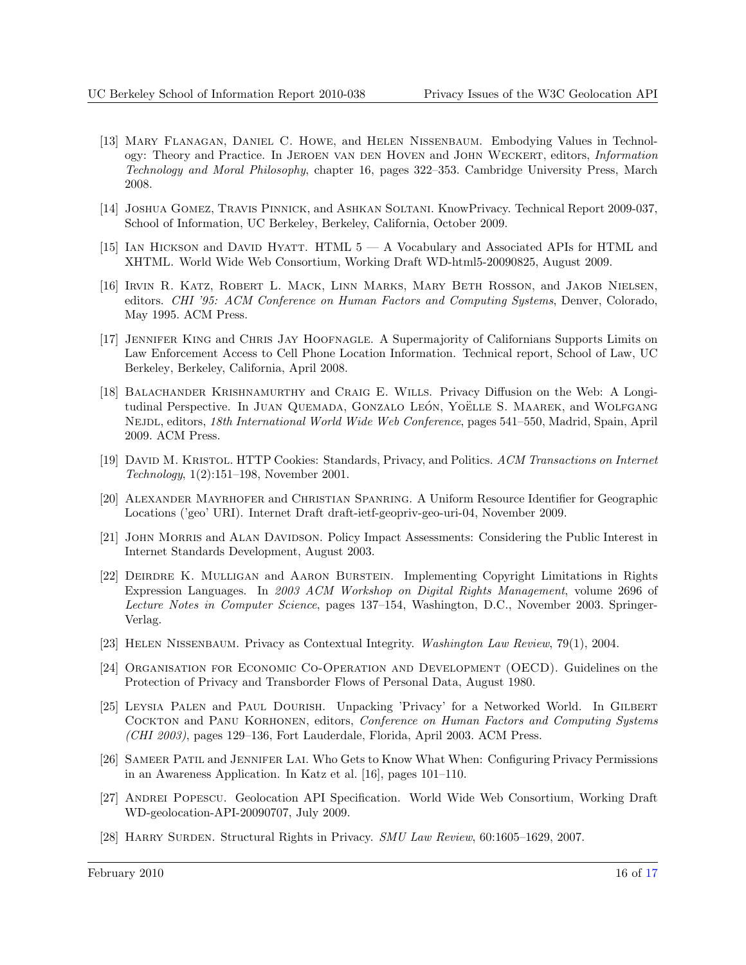- <span id="page-15-0"></span>[13] Mary Flanagan, Daniel C. Howe, and Helen Nissenbaum. Embodying Values in Technology: Theory and Practice. In JEROEN VAN DEN HOVEN and JOHN WECKERT, editors, *Information* Technology and Moral Philosophy, chapter 16, pages 322–353. Cambridge University Press, March 2008.
- [14] Joshua Gomez, Travis Pinnick, and Ashkan Soltani. KnowPrivacy. Technical Report 2009-037, School of Information, UC Berkeley, Berkeley, California, October 2009.
- [15] Ian Hickson and David Hyatt. HTML 5 A Vocabulary and Associated APIs for HTML and XHTML. World Wide Web Consortium, Working Draft WD-html5-20090825, August 2009.
- [16] Irvin R. Katz, Robert L. Mack, Linn Marks, Mary Beth Rosson, and Jakob Nielsen, editors. CHI '95: ACM Conference on Human Factors and Computing Systems, Denver, Colorado, May 1995. ACM Press.
- [17] Jennifer King and Chris Jay Hoofnagle. A Supermajority of Californians Supports Limits on Law Enforcement Access to Cell Phone Location Information. Technical report, School of Law, UC Berkeley, Berkeley, California, April 2008.
- [18] Balachander Krishnamurthy and Craig E. Wills. Privacy Diffusion on the Web: A Longitudinal Perspective. In JUAN QUEMADA, GONZALO LEÓN, YOËLLE S. MAAREK, and WOLFGANG NEJDL, editors, 18th International World Wide Web Conference, pages 541–550, Madrid, Spain, April 2009. ACM Press.
- [19] DAVID M. KRISTOL. HTTP Cookies: Standards, Privacy, and Politics. ACM Transactions on Internet Technology, 1(2):151–198, November 2001.
- [20] Alexander Mayrhofer and Christian Spanring. A Uniform Resource Identifier for Geographic Locations ('geo' URI). Internet Draft draft-ietf-geopriv-geo-uri-04, November 2009.
- [21] JOHN MORRIS and ALAN DAVIDSON. Policy Impact Assessments: Considering the Public Interest in Internet Standards Development, August 2003.
- [22] Deirdre K. Mulligan and Aaron Burstein. Implementing Copyright Limitations in Rights Expression Languages. In 2003 ACM Workshop on Digital Rights Management, volume 2696 of Lecture Notes in Computer Science, pages 137–154, Washington, D.C., November 2003. Springer-Verlag.
- [23] HELEN NISSENBAUM. Privacy as Contextual Integrity. Washington Law Review, 79(1), 2004.
- [24] Organisation for Economic Co-Operation and Development (OECD). Guidelines on the Protection of Privacy and Transborder Flows of Personal Data, August 1980.
- [25] LEYSIA PALEN and PAUL DOURISH. Unpacking 'Privacy' for a Networked World. In GILBERT COCKTON and PANU KORHONEN, editors, Conference on Human Factors and Computing Systems (CHI 2003), pages 129–136, Fort Lauderdale, Florida, April 2003. ACM Press.
- [26] Sameer Patil and Jennifer Lai. Who Gets to Know What When: Configuring Privacy Permissions in an Awareness Application. In Katz et al. [16], pages 101–110.
- [27] ANDREI POPESCU. Geolocation API Specification. World Wide Web Consortium, Working Draft WD-geolocation-API-20090707, July 2009.
- [28] HARRY SURDEN. Structural Rights in Privacy. SMU Law Review, 60:1605–1629, 2007.